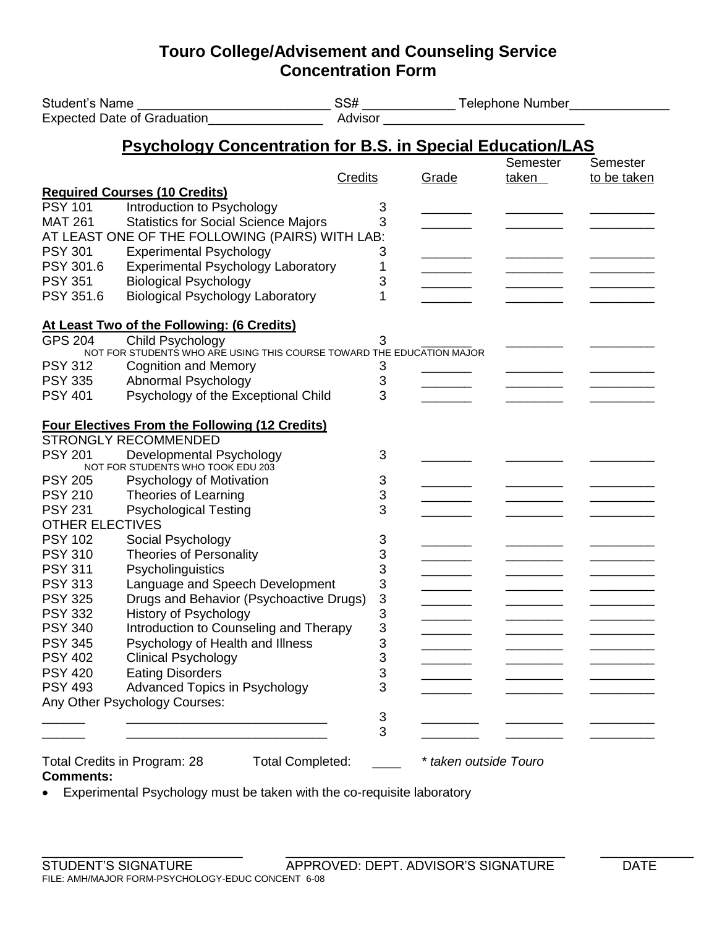## **Touro College/Advisement and Counseling Service Concentration Form**

|                                                                             |                                                                       |         | SS# _________________Telephone Number<br>Advisor |                   |                                |  |  |  |  |
|-----------------------------------------------------------------------------|-----------------------------------------------------------------------|---------|--------------------------------------------------|-------------------|--------------------------------|--|--|--|--|
|                                                                             |                                                                       |         |                                                  |                   |                                |  |  |  |  |
|                                                                             | <b>Psychology Concentration for B.S. in Special Education/LAS</b>     |         |                                                  |                   |                                |  |  |  |  |
|                                                                             |                                                                       | Credits | Grade                                            | Semester<br>taken | <b>Semester</b><br>to be taken |  |  |  |  |
|                                                                             | <b>Required Courses (10 Credits)</b>                                  |         |                                                  |                   |                                |  |  |  |  |
| <b>PSY 101</b>                                                              | Introduction to Psychology                                            | 3       |                                                  |                   |                                |  |  |  |  |
| <b>MAT 261</b>                                                              | <b>Statistics for Social Science Majors</b>                           | 3       |                                                  |                   |                                |  |  |  |  |
| AT LEAST ONE OF THE FOLLOWING (PAIRS) WITH LAB:                             |                                                                       |         |                                                  |                   |                                |  |  |  |  |
| <b>PSY 301</b>                                                              | <b>Experimental Psychology</b>                                        | 3       |                                                  |                   |                                |  |  |  |  |
| PSY 301.6                                                                   | <b>Experimental Psychology Laboratory</b>                             | 1       |                                                  |                   |                                |  |  |  |  |
| <b>PSY 351</b>                                                              | <b>Biological Psychology</b>                                          | 3       |                                                  |                   |                                |  |  |  |  |
| PSY 351.6                                                                   | <b>Biological Psychology Laboratory</b>                               | 1       |                                                  |                   |                                |  |  |  |  |
| At Least Two of the Following: (6 Credits)                                  |                                                                       |         |                                                  |                   |                                |  |  |  |  |
| <b>GPS 204</b>                                                              | Child Psychology                                                      | 3       |                                                  |                   |                                |  |  |  |  |
|                                                                             | NOT FOR STUDENTS WHO ARE USING THIS COURSE TOWARD THE EDUCATION MAJOR |         |                                                  |                   |                                |  |  |  |  |
| <b>PSY 312</b>                                                              | <b>Cognition and Memory</b>                                           | 3       |                                                  |                   |                                |  |  |  |  |
| <b>PSY 335</b>                                                              | Abnormal Psychology                                                   | 3       |                                                  |                   | ______                         |  |  |  |  |
| <b>PSY 401</b>                                                              | Psychology of the Exceptional Child                                   | 3       |                                                  |                   |                                |  |  |  |  |
|                                                                             | <b>Four Electives From the Following (12 Credits)</b>                 |         |                                                  |                   |                                |  |  |  |  |
|                                                                             | <b>STRONGLY RECOMMENDED</b>                                           |         |                                                  |                   |                                |  |  |  |  |
| <b>PSY 201</b>                                                              | Developmental Psychology<br>NOT FOR STUDENTS WHO TOOK EDU 203         | 3       |                                                  |                   |                                |  |  |  |  |
| <b>PSY 205</b>                                                              | Psychology of Motivation                                              | 3       |                                                  |                   |                                |  |  |  |  |
| <b>PSY 210</b>                                                              | Theories of Learning                                                  | 3       |                                                  |                   |                                |  |  |  |  |
| <b>PSY 231</b>                                                              | <b>Psychological Testing</b>                                          | 3       |                                                  |                   |                                |  |  |  |  |
| <b>OTHER ELECTIVES</b>                                                      |                                                                       |         |                                                  |                   |                                |  |  |  |  |
| <b>PSY 102</b>                                                              | Social Psychology                                                     | 3       |                                                  |                   |                                |  |  |  |  |
| <b>PSY 310</b>                                                              | <b>Theories of Personality</b>                                        | 3       |                                                  |                   |                                |  |  |  |  |
| <b>PSY 311</b>                                                              | Psycholinguistics                                                     | 3       |                                                  |                   |                                |  |  |  |  |
| <b>PSY 313</b>                                                              | Language and Speech Development                                       | 3       |                                                  |                   |                                |  |  |  |  |
| <b>PSY 325</b>                                                              | Drugs and Behavior (Psychoactive Drugs)                               | 3       |                                                  |                   |                                |  |  |  |  |
| <b>PSY 332</b>                                                              | History of Psychology                                                 | 3       |                                                  |                   |                                |  |  |  |  |
| <b>PSY 340</b>                                                              | Introduction to Counseling and Therapy                                | 3       |                                                  |                   |                                |  |  |  |  |
| <b>PSY 345</b>                                                              | Psychology of Health and Illness                                      | 3       |                                                  |                   |                                |  |  |  |  |
| <b>PSY 402</b>                                                              | <b>Clinical Psychology</b>                                            | 3       |                                                  |                   |                                |  |  |  |  |
| <b>PSY 420</b>                                                              | <b>Eating Disorders</b>                                               | 3       |                                                  |                   |                                |  |  |  |  |
| <b>PSY 493</b>                                                              | <b>Advanced Topics in Psychology</b>                                  | 3       |                                                  |                   |                                |  |  |  |  |
|                                                                             | Any Other Psychology Courses:                                         |         |                                                  |                   |                                |  |  |  |  |
|                                                                             |                                                                       | 3<br>3  |                                                  |                   |                                |  |  |  |  |
|                                                                             |                                                                       |         |                                                  |                   |                                |  |  |  |  |
| <b>Total Completed:</b><br>Total Credits in Program: 28<br><b>Comments:</b> |                                                                       |         | * taken outside Touro                            |                   |                                |  |  |  |  |

Experimental Psychology must be taken with the co-requisite laboratory